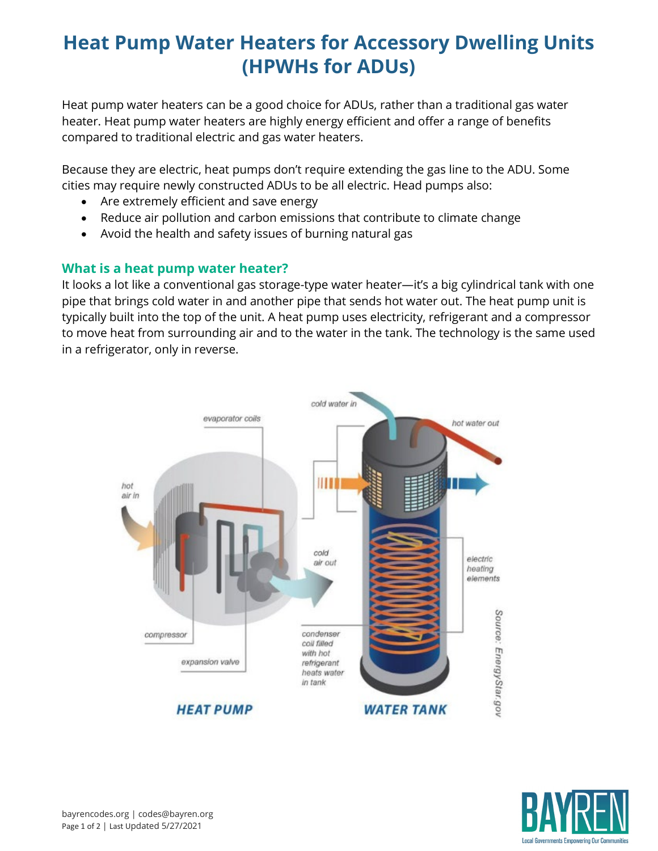## **Heat Pump Water Heaters for Accessory Dwelling Units (HPWHs for ADUs)**

Heat pump water heaters can be a good choice for ADUs, rather than a traditional gas water heater. Heat pump water heaters are highly energy efficient and offer a range of benefits compared to traditional electric and gas water heaters.

Because they are electric, heat pumps don't require extending the gas line to the ADU. Some cities may require newly constructed ADUs to be all electric. Head pumps also:

- Are extremely efficient and save energy
- Reduce air pollution and carbon emissions that contribute to climate change
- Avoid the health and safety issues of burning natural gas

#### **What is a heat pump water heater?**

It looks a lot like a conventional gas storage-type water heater—it's a big cylindrical tank with one pipe that brings cold water in and another pipe that sends hot water out. The heat pump unit is typically built into the top of the unit. A heat pump uses electricity, refrigerant and a compressor to move heat from surrounding air and to the water in the tank. The technology is the same used in a refrigerator, only in reverse.